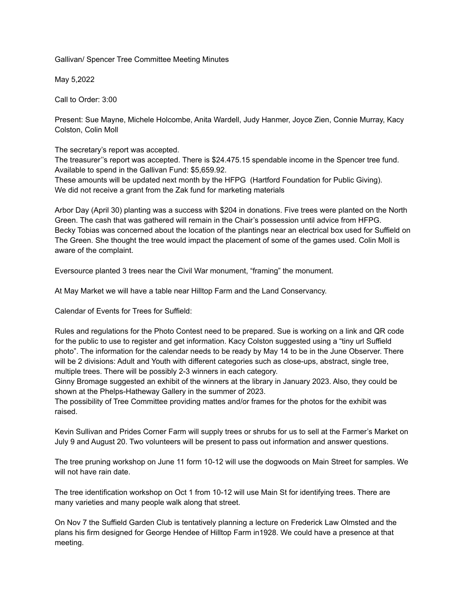Gallivan/ Spencer Tree Committee Meeting Minutes

May 5,2022

Call to Order: 3:00

Present: Sue Mayne, Michele Holcombe, Anita Wardell, Judy Hanmer, Joyce Zien, Connie Murray, Kacy Colston, Colin Moll

The secretary's report was accepted.

The treasurer''s report was accepted. There is \$24.475.15 spendable income in the Spencer tree fund. Available to spend in the Gallivan Fund: \$5,659.92.

These amounts will be updated next month by the HFPG (Hartford Foundation for Public Giving). We did not receive a grant from the Zak fund for marketing materials

Arbor Day (April 30) planting was a success with \$204 in donations. Five trees were planted on the North Green. The cash that was gathered will remain in the Chair's possession until advice from HFPG. Becky Tobias was concerned about the location of the plantings near an electrical box used for Suffield on The Green. She thought the tree would impact the placement of some of the games used. Colin Moll is aware of the complaint.

Eversource planted 3 trees near the Civil War monument, "framing" the monument.

At May Market we will have a table near Hilltop Farm and the Land Conservancy.

Calendar of Events for Trees for Suffield:

Rules and regulations for the Photo Contest need to be prepared. Sue is working on a link and QR code for the public to use to register and get information. Kacy Colston suggested using a "tiny url Suffield photo". The information for the calendar needs to be ready by May 14 to be in the June Observer. There will be 2 divisions: Adult and Youth with different categories such as close-ups, abstract, single tree, multiple trees. There will be possibly 2-3 winners in each category.

Ginny Bromage suggested an exhibit of the winners at the library in January 2023. Also, they could be shown at the Phelps-Hatheway Gallery in the summer of 2023.

The possibility of Tree Committee providing mattes and/or frames for the photos for the exhibit was raised.

Kevin Sullivan and Prides Corner Farm will supply trees or shrubs for us to sell at the Farmer's Market on July 9 and August 20. Two volunteers will be present to pass out information and answer questions.

The tree pruning workshop on June 11 form 10-12 will use the dogwoods on Main Street for samples. We will not have rain date.

The tree identification workshop on Oct 1 from 10-12 will use Main St for identifying trees. There are many varieties and many people walk along that street.

On Nov 7 the Suffield Garden Club is tentatively planning a lecture on Frederick Law Olmsted and the plans his firm designed for George Hendee of Hilltop Farm in1928. We could have a presence at that meeting.